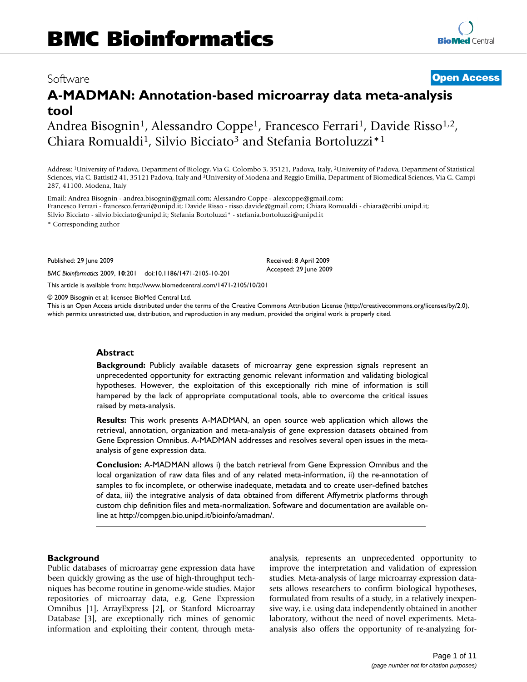# Software **[Open Access](http://www.biomedcentral.com/info/about/charter/)**

# **A-MADMAN: Annotation-based microarray data meta-analysis tool**

Andrea Bisognin<sup>1</sup>, Alessandro Coppe<sup>1</sup>, Francesco Ferrari<sup>1</sup>, Davide Risso<sup>1,2</sup>, Chiara Romualdi<sup>1</sup>, Silvio Bicciato<sup>3</sup> and Stefania Bortoluzzi<sup>\*1</sup>

Address: 1University of Padova, Department of Biology, Via G. Colombo 3, 35121, Padova, Italy, 2University of Padova, Department of Statistical Sciences, via C. Battisti2 41, 35121 Padova, Italy and 3University of Modena and Reggio Emilia, Department of Biomedical Sciences, Via G. Campi 287, 41100, Modena, Italy

Email: Andrea Bisognin - andrea.bisognin@gmail.com; Alessandro Coppe - alexcoppe@gmail.com; Francesco Ferrari - francesco.ferrari@unipd.it; Davide Risso - risso.davide@gmail.com; Chiara Romualdi - chiara@cribi.unipd.it; Silvio Bicciato - silvio.bicciato@unipd.it; Stefania Bortoluzzi\* - stefania.bortoluzzi@unipd.it

\* Corresponding author

Published: 29 June 2009

*BMC Bioinformatics* 2009, **10**:201 doi:10.1186/1471-2105-10-201

[This article is available from: http://www.biomedcentral.com/1471-2105/10/201](http://www.biomedcentral.com/1471-2105/10/201)

© 2009 Bisognin et al; licensee BioMed Central Ltd.

This is an Open Access article distributed under the terms of the Creative Commons Attribution License [\(http://creativecommons.org/licenses/by/2.0\)](http://creativecommons.org/licenses/by/2.0), which permits unrestricted use, distribution, and reproduction in any medium, provided the original work is properly cited.

Received: 8 April 2009 Accepted: 29 June 2009

#### **Abstract**

**Background:** Publicly available datasets of microarray gene expression signals represent an unprecedented opportunity for extracting genomic relevant information and validating biological hypotheses. However, the exploitation of this exceptionally rich mine of information is still hampered by the lack of appropriate computational tools, able to overcome the critical issues raised by meta-analysis.

**Results:** This work presents A-MADMAN, an open source web application which allows the retrieval, annotation, organization and meta-analysis of gene expression datasets obtained from Gene Expression Omnibus. A-MADMAN addresses and resolves several open issues in the metaanalysis of gene expression data.

**Conclusion:** A-MADMAN allows i) the batch retrieval from Gene Expression Omnibus and the local organization of raw data files and of any related meta-information, ii) the re-annotation of samples to fix incomplete, or otherwise inadequate, metadata and to create user-defined batches of data, iii) the integrative analysis of data obtained from different Affymetrix platforms through custom chip definition files and meta-normalization. Software and documentation are available online at [http://compgen.bio.unipd.it/bioinfo/amadman/.](http://compgen.bio.unipd.it/bioinfo/amadman/)

#### **Background**

Public databases of microarray gene expression data have been quickly growing as the use of high-throughput techniques has become routine in genome-wide studies. Major repositories of microarray data, e.g. Gene Expression Omnibus [1], ArrayExpress [2], or Stanford Microarray Database [3], are exceptionally rich mines of genomic information and exploiting their content, through metaanalysis, represents an unprecedented opportunity to improve the interpretation and validation of expression studies. Meta-analysis of large microarray expression datasets allows researchers to confirm biological hypotheses, formulated from results of a study, in a relatively inexpensive way, i.e. using data independently obtained in another laboratory, without the need of novel experiments. Metaanalysis also offers the opportunity of re-analyzing for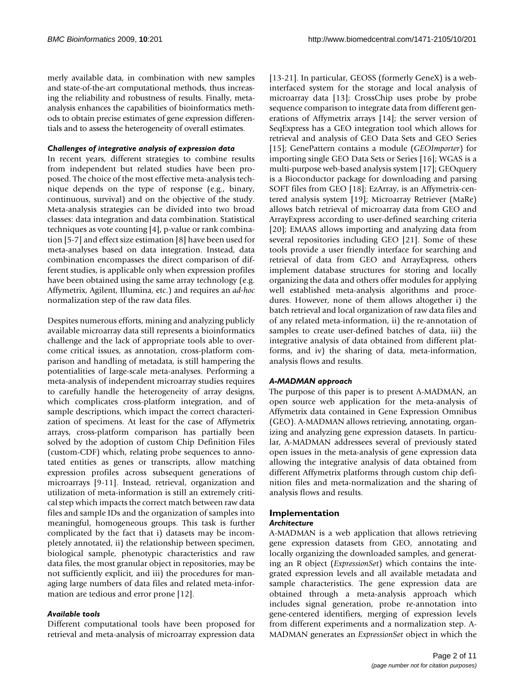merly available data, in combination with new samples and state-of-the-art computational methods, thus increasing the reliability and robustness of results. Finally, metaanalysis enhances the capabilities of bioinformatics methods to obtain precise estimates of gene expression differentials and to assess the heterogeneity of overall estimates.

#### *Challenges of integrative analysis of expression data*

In recent years, different strategies to combine results from independent but related studies have been proposed. The choice of the most effective meta-analysis technique depends on the type of response (e.g., binary, continuous, survival) and on the objective of the study. Meta-analysis strategies can be divided into two broad classes: data integration and data combination. Statistical techniques as vote counting [4], p-value or rank combination [5-7] and effect size estimation [8] have been used for meta-analyses based on data integration. Instead, data combination encompasses the direct comparison of different studies, is applicable only when expression profiles have been obtained using the same array technology (e.g. Affymetrix, Agilent, Illumina, etc.) and requires an *ad-hoc* normalization step of the raw data files.

Despites numerous efforts, mining and analyzing publicly available microarray data still represents a bioinformatics challenge and the lack of appropriate tools able to overcome critical issues, as annotation, cross-platform comparison and handling of metadata, is still hampering the potentialities of large-scale meta-analyses. Performing a meta-analysis of independent microarray studies requires to carefully handle the heterogeneity of array designs, which complicates cross-platform integration, and of sample descriptions, which impact the correct characterization of specimens. At least for the case of Affymetrix arrays, cross-platform comparison has partially been solved by the adoption of custom Chip Definition Files (custom-CDF) which, relating probe sequences to annotated entities as genes or transcripts, allow matching expression profiles across subsequent generations of microarrays [9-11]. Instead, retrieval, organization and utilization of meta-information is still an extremely critical step which impacts the correct match between raw data files and sample IDs and the organization of samples into meaningful, homogeneous groups. This task is further complicated by the fact that i) datasets may be incompletely annotated, ii) the relationship between specimen, biological sample, phenotypic characteristics and raw data files, the most granular object in repositories, may be not sufficiently explicit, and iii) the procedures for managing large numbers of data files and related meta-information are tedious and error prone [12].

# *Available tools*

Different computational tools have been proposed for retrieval and meta-analysis of microarray expression data

[13-21]. In particular, GEOSS (formerly GeneX) is a webinterfaced system for the storage and local analysis of microarray data [13]; CrossChip uses probe by probe sequence comparison to integrate data from different generations of Affymetrix arrays [14]; the server version of SeqExpress has a GEO integration tool which allows for retrieval and analysis of GEO Data Sets and GEO Series [15]; GenePattern contains a module (*GEOImporter*) for importing single GEO Data Sets or Series [16]; WGAS is a multi-purpose web-based analysis system [17]; GEOquery is a Bioconductor package for downloading and parsing SOFT files from GEO [18]; EzArray, is an Affymetrix-centered analysis system [19]; Microarray Retriever (MaRe) allows batch retrieval of microarray data from GEO and ArrayExpress according to user-defined searching criteria [20]; EMAAS allows importing and analyzing data from several repositories including GEO [21]. Some of these tools provide a user friendly interface for searching and retrieval of data from GEO and ArrayExpress, others implement database structures for storing and locally organizing the data and others offer modules for applying well established meta-analysis algorithms and procedures. However, none of them allows altogether i) the batch retrieval and local organization of raw data files and of any related meta-information, ii) the re-annotation of samples to create user-defined batches of data, iii) the integrative analysis of data obtained from different platforms, and iv) the sharing of data, meta-information, analysis flows and results.

# *A-MADMAN approach*

The purpose of this paper is to present A-MADMAN, an open source web application for the meta-analysis of Affymetrix data contained in Gene Expression Omnibus (GEO). A-MADMAN allows retrieving, annotating, organizing and analyzing gene expression datasets. In particular, A-MADMAN addressees several of previously stated open issues in the meta-analysis of gene expression data allowing the integrative analysis of data obtained from different Affymetrix platforms through custom chip definition files and meta-normalization and the sharing of analysis flows and results.

# **Implementation**

#### *Architecture*

A-MADMAN is a web application that allows retrieving gene expression datasets from GEO, annotating and locally organizing the downloaded samples, and generating an R object (*ExpressionSet*) which contains the integrated expression levels and all available metadata and sample characteristics. The gene expression data are obtained through a meta-analysis approach which includes signal generation, probe re-annotation into gene-centered identifiers, merging of expression levels from different experiments and a normalization step. A-MADMAN generates an *ExpressionSet* object in which the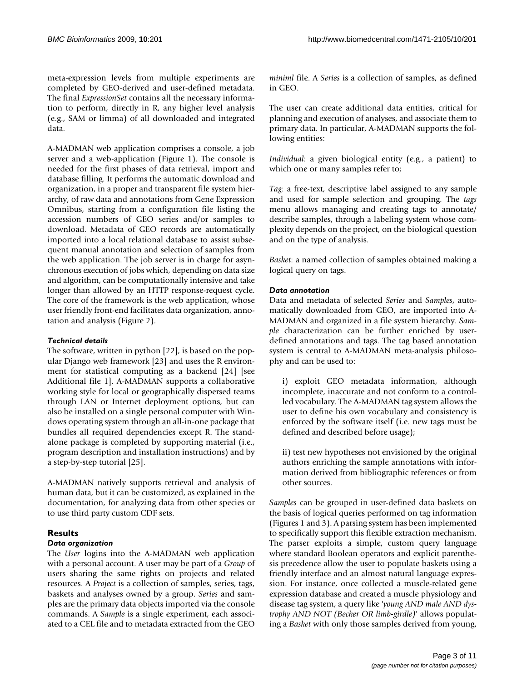meta-expression levels from multiple experiments are completed by GEO-derived and user-defined metadata. The final *ExpressionSet* contains all the necessary information to perform, directly in R, any higher level analysis (e.g., SAM or limma) of all downloaded and integrated data.

A-MADMAN web application comprises a console, a job server and a web-application (Figure 1). The console is needed for the first phases of data retrieval, import and database filling. It performs the automatic download and organization, in a proper and transparent file system hierarchy, of raw data and annotations from Gene Expression Omnibus, starting from a configuration file listing the accession numbers of GEO series and/or samples to download. Metadata of GEO records are automatically imported into a local relational database to assist subsequent manual annotation and selection of samples from the web application. The job server is in charge for asynchronous execution of jobs which, depending on data size and algorithm, can be computationally intensive and take longer than allowed by an HTTP response-request cycle. The core of the framework is the web application, whose user friendly front-end facilitates data organization, annotation and analysis (Figure 2).

# *Technical details*

The software, written in python [22], is based on the popular Django web framework [23] and uses the R environment for statistical computing as a backend [24] [see Additional file 1]. A-MADMAN supports a collaborative working style for local or geographically dispersed teams through LAN or Internet deployment options, but can also be installed on a single personal computer with Windows operating system through an all-in-one package that bundles all required dependencies except R. The standalone package is completed by supporting material (i.e., program description and installation instructions) and by a step-by-step tutorial [25].

A-MADMAN natively supports retrieval and analysis of human data, but it can be customized, as explained in the documentation, for analyzing data from other species or to use third party custom CDF sets.

# **Results**

#### *Data organization*

The *User* logins into the A-MADMAN web application with a personal account. A user may be part of a *Group* of users sharing the same rights on projects and related resources. A *Project* is a collection of samples, series, tags, baskets and analyses owned by a group. *Series* and samples are the primary data objects imported via the console commands. A *Sample* is a single experiment, each associated to a CEL file and to metadata extracted from the GEO

*miniml* file. A *Series* is a collection of samples, as defined in GEO.

The user can create additional data entities, critical for planning and execution of analyses, and associate them to primary data. In particular, A-MADMAN supports the following entities:

*Individual*: a given biological entity (e.g., a patient) to which one or many samples refer to;

*Tag*: a free-text, descriptive label assigned to any sample and used for sample selection and grouping. The *tags* menu allows managing and creating tags to annotate/ describe samples, through a labeling system whose complexity depends on the project, on the biological question and on the type of analysis.

*Basket*: a named collection of samples obtained making a logical query on tags.

#### *Data annotation*

Data and metadata of selected *Series* and *Samples*, automatically downloaded from GEO, are imported into A-MADMAN and organized in a file system hierarchy. *Sample* characterization can be further enriched by userdefined annotations and tags. The tag based annotation system is central to A-MADMAN meta-analysis philosophy and can be used to:

i) exploit GEO metadata information, although incomplete, inaccurate and not conform to a controlled vocabulary. The A-MADMAN tag system allows the user to define his own vocabulary and consistency is enforced by the software itself (i.e. new tags must be defined and described before usage);

ii) test new hypotheses not envisioned by the original authors enriching the sample annotations with information derived from bibliographic references or from other sources.

*Samples* can be grouped in user-defined data baskets on the basis of logical queries performed on tag information (Figures 1 and 3). A parsing system has been implemented to specifically support this flexible extraction mechanism. The parser exploits a simple, custom query language where standard Boolean operators and explicit parenthesis precedence allow the user to populate baskets using a friendly interface and an almost natural language expression. For instance, once collected a muscle-related gene expression database and created a muscle physiology and disease tag system, a query like '*young AND male AND dystrophy AND NOT (Becker OR limb-girdle)*' allows populating a *Basket* with only those samples derived from young,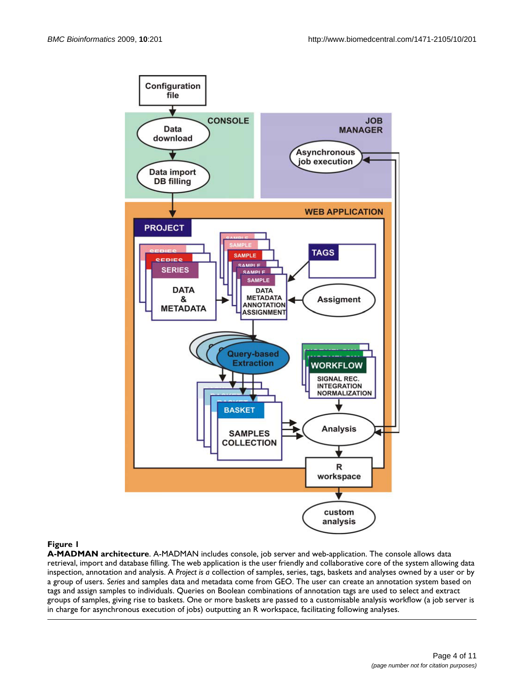

#### **Figure 1**

**A-MADMAN architecture**. A-MADMAN includes console, job server and web-application. The console allows data retrieval, import and database filling. The web application is the user friendly and collaborative core of the system allowing data inspection, annotation and analysis. A *Project is a* collection of samples, series, tags, baskets and analyses owned by a user or by a group of users. *Series* and samples data and metadata come from GEO. The user can create an annotation system based on tags and assign samples to individuals. Queries on Boolean combinations of annotation tags are used to select and extract groups of samples, giving rise to baskets. One or more baskets are passed to a customisable analysis workflow (a job server is in charge for asynchronous execution of jobs) outputting an R workspace, facilitating following analyses.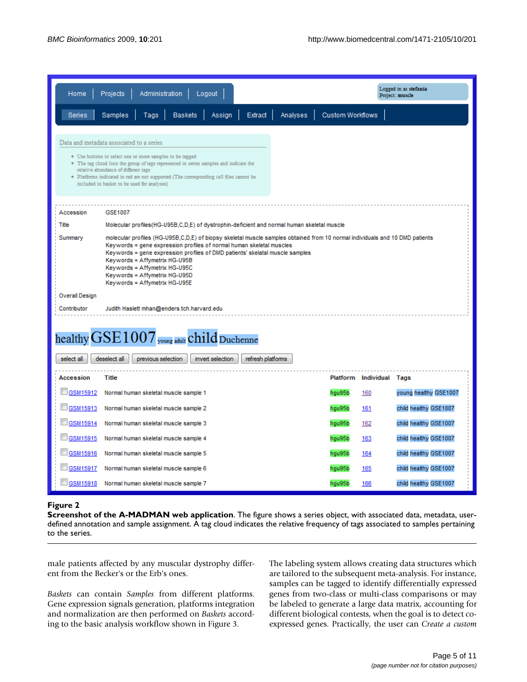| Home                                                                                                                                                                                                                                                                    | Projects<br>Administration<br>Logout                                                                                                                                                                                                                                                                                                                                                                                     |                         |                        | Logged in as stefania<br>Project: muscle |
|-------------------------------------------------------------------------------------------------------------------------------------------------------------------------------------------------------------------------------------------------------------------------|--------------------------------------------------------------------------------------------------------------------------------------------------------------------------------------------------------------------------------------------------------------------------------------------------------------------------------------------------------------------------------------------------------------------------|-------------------------|------------------------|------------------------------------------|
| <b>Series</b>                                                                                                                                                                                                                                                           | Samples<br><b>Baskets</b><br>Assign<br><b>Extract</b><br>Analyses<br>Tags                                                                                                                                                                                                                                                                                                                                                | <b>Custom Workflows</b> |                        |                                          |
| Data and metadata associated to a series<br>. Use buttons to select one or more samples to be tagged                                                                                                                                                                    |                                                                                                                                                                                                                                                                                                                                                                                                                          |                         |                        |                                          |
| · The tag cloud lists the group of tags represented in series samples and indicate the<br>relative abundance of different tags<br>· Platforms indicated in red are not supported (The corresponding cell files cannot be<br>included in basket to be used for analyses) |                                                                                                                                                                                                                                                                                                                                                                                                                          |                         |                        |                                          |
| Accession                                                                                                                                                                                                                                                               | GSE1007                                                                                                                                                                                                                                                                                                                                                                                                                  |                         |                        |                                          |
| Title                                                                                                                                                                                                                                                                   | Molecular profiles(HG-U95B,C,D,E) of dystrophin-deficient and normal human skeletal muscle                                                                                                                                                                                                                                                                                                                               |                         |                        |                                          |
| Summary                                                                                                                                                                                                                                                                 | molecular profiles (HG-U95B,C,D,E) of biopsy skeletal muscle samples obtained from 10 normal individuals and 10 DMD patients<br>Keywords = gene expression profiles of normal human skeletal muscles<br>Keywords = gene expression profiles of DMD patients' skelatal muscle samples<br>Keywords = Affymetrix HG-U95B<br>Keywords = Affymetrix HG-U95C<br>Keywords = Affymetrix HG-U95D<br>Keywords = Affymetrix HG-U95E |                         |                        |                                          |
| <b>Overall Design</b>                                                                                                                                                                                                                                                   |                                                                                                                                                                                                                                                                                                                                                                                                                          |                         |                        |                                          |
| Contributor<br>Judith Haslett mhan@enders.tch.harvard.edu                                                                                                                                                                                                               |                                                                                                                                                                                                                                                                                                                                                                                                                          |                         |                        |                                          |
| healthy $\text{GSE}1007$ young adult Child Duchenne<br>select all<br>deselect all<br>previous selection<br>invert selection<br>refresh platforms                                                                                                                        |                                                                                                                                                                                                                                                                                                                                                                                                                          |                         |                        |                                          |
| <b>Accession</b>                                                                                                                                                                                                                                                        | <b>Title</b>                                                                                                                                                                                                                                                                                                                                                                                                             | <b>Platform</b>         | <b>Individual Tags</b> |                                          |
| GSM15912                                                                                                                                                                                                                                                                | Normal human skeletal muscle sample 1                                                                                                                                                                                                                                                                                                                                                                                    | hgu95b                  | 160                    | young healthy GSE1007                    |
| GSM15913                                                                                                                                                                                                                                                                | Normal human skeletal muscle sample 2                                                                                                                                                                                                                                                                                                                                                                                    | hqu95b                  | 161                    | child healthy GSE1007                    |
| GSM15914                                                                                                                                                                                                                                                                | Normal human skeletal muscle sample 3                                                                                                                                                                                                                                                                                                                                                                                    | hqu95b                  | 162                    | child healthy GSE1007                    |
| GSM15915                                                                                                                                                                                                                                                                | Normal human skeletal muscle sample 4                                                                                                                                                                                                                                                                                                                                                                                    | hgu95b                  | 163                    | child healthy GSE1007                    |
| GSM15916                                                                                                                                                                                                                                                                | Normal human skeletal muscle sample 5                                                                                                                                                                                                                                                                                                                                                                                    | hqu95b                  | 164                    | child healthy GSE1007                    |
| GSM15917                                                                                                                                                                                                                                                                | Normal human skeletal muscle sample 6                                                                                                                                                                                                                                                                                                                                                                                    | hqu95b                  | 165                    | child healthy GSE1007                    |
| GSM15918                                                                                                                                                                                                                                                                | Normal human skeletal muscle sample 7                                                                                                                                                                                                                                                                                                                                                                                    | hqu95b                  | 166                    | child healthy GSE1007                    |

#### **Figure 2**

**Screenshot of the A-MADMAN web application**. The figure shows a series object, with associated data, metadata, userdefined annotation and sample assignment. A tag cloud indicates the relative frequency of tags associated to samples pertaining to the series.

male patients affected by any muscular dystrophy different from the Becker's or the Erb's ones.

*Baskets* can contain *Samples* from different platforms. Gene expression signals generation, platforms integration and normalization are then performed on *Baskets* according to the basic analysis workflow shown in Figure 3.

The labeling system allows creating data structures which are tailored to the subsequent meta-analysis. For instance, samples can be tagged to identify differentially expressed genes from two-class or multi-class comparisons or may be labeled to generate a large data matrix, accounting for different biological contests, when the goal is to detect coexpressed genes. Practically, the user can *Create a custom*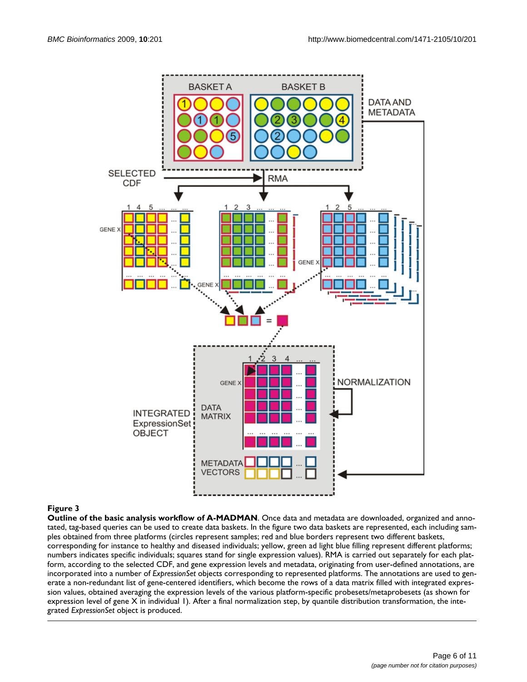

# **Figure 3**

**Outline of the basic analysis workflow of A-MADMAN**. Once data and metadata are downloaded, organized and annotated, tag-based queries can be used to create data baskets. In the figure two data baskets are represented, each including samples obtained from three platforms (circles represent samples; red and blue borders represent two different baskets, corresponding for instance to healthy and diseased individuals; yellow, green ad light blue filling represent different platforms; numbers indicates specific individuals; squares stand for single expression values). RMA is carried out separately for each platform, according to the selected CDF, and gene expression levels and metadata, originating from user-defined annotations, are incorporated into a number of *ExpressionSet* objects corresponding to represented platforms. The annotations are used to generate a non-redundant list of gene-centered identifiers, which become the rows of a data matrix filled with integrated expression values, obtained averaging the expression levels of the various platform-specific probesets/metaprobesets (as shown for expression level of gene X in individual 1). After a final normalization step, by quantile distribution transformation, the integrated *ExpressionSet* object is produced.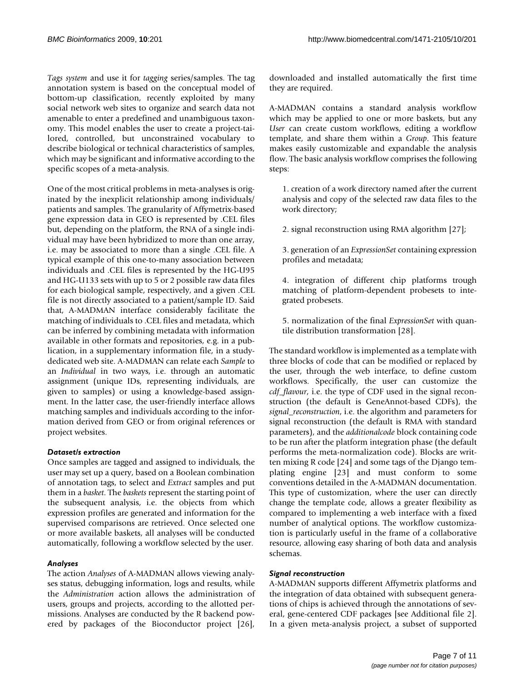*Tags system* and use it for *tagging* series/samples. The tag annotation system is based on the conceptual model of bottom-up classification, recently exploited by many social network web sites to organize and search data not amenable to enter a predefined and unambiguous taxonomy. This model enables the user to create a project-tailored, controlled, but unconstrained vocabulary to describe biological or technical characteristics of samples, which may be significant and informative according to the specific scopes of a meta-analysis.

One of the most critical problems in meta-analyses is originated by the inexplicit relationship among individuals/ patients and samples. The granularity of Affymetrix-based gene expression data in GEO is represented by .CEL files but, depending on the platform, the RNA of a single individual may have been hybridized to more than one array, i.e. may be associated to more than a single .CEL file. A typical example of this one-to-many association between individuals and .CEL files is represented by the HG-U95 and HG-U133 sets with up to 5 or 2 possible raw data files for each biological sample, respectively, and a given .CEL file is not directly associated to a patient/sample ID. Said that, A-MADMAN interface considerably facilitate the matching of individuals to .CEL files and metadata, which can be inferred by combining metadata with information available in other formats and repositories, e.g. in a publication, in a supplementary information file, in a studydedicated web site. A-MADMAN can relate each *Sample* to an *Individual* in two ways, i.e. through an automatic assignment (unique IDs, representing individuals, are given to samples) or using a knowledge-based assignment. In the latter case, the user-friendly interface allows matching samples and individuals according to the information derived from GEO or from original references or project websites.

#### *Dataset/s extraction*

Once samples are tagged and assigned to individuals, the user may set up a query, based on a Boolean combination of annotation tags, to select and *Extract* samples and put them in a *basket*. The *baskets* represent the starting point of the subsequent analysis, i.e. the objects from which expression profiles are generated and information for the supervised comparisons are retrieved. Once selected one or more available baskets, all analyses will be conducted automatically, following a workflow selected by the user.

# *Analyses*

The action *Analyses* of A-MADMAN allows viewing analyses status, debugging information, logs and results, while the *Administration* action allows the administration of users, groups and projects, according to the allotted permissions. Analyses are conducted by the R backend powered by packages of the Bioconductor project [26],

downloaded and installed automatically the first time they are required.

A-MADMAN contains a standard analysis workflow which may be applied to one or more baskets, but any *User* can create custom workflows, editing a workflow template, and share them within a *Group*. This feature makes easily customizable and expandable the analysis flow. The basic analysis workflow comprises the following steps:

1. creation of a work directory named after the current analysis and copy of the selected raw data files to the work directory;

2. signal reconstruction using RMA algorithm [27];

3. generation of an *ExpressionSet* containing expression profiles and metadata;

4. integration of different chip platforms trough matching of platform-dependent probesets to integrated probesets.

5. normalization of the final *ExpressionSet* with quantile distribution transformation [28].

The standard workflow is implemented as a template with three blocks of code that can be modified or replaced by the user, through the web interface, to define custom workflows. Specifically, the user can customize the *cdf\_flavour*, i.e. the type of CDF used in the signal reconstruction (the default is GeneAnnot-based CDFs), the *signal\_reconstruction*, i.e. the algorithm and parameters for signal reconstruction (the default is RMA with standard parameters), and the *additionalcode* block containing code to be run after the platform integration phase (the default performs the meta-normalization code). Blocks are written mixing R code [24] and some tags of the Django templating engine [23] and must conform to some conventions detailed in the A-MADMAN documentation. This type of customization, where the user can directly change the template code, allows a greater flexibility as compared to implementing a web interface with a fixed number of analytical options. The workflow customization is particularly useful in the frame of a collaborative resource, allowing easy sharing of both data and analysis schemas.

# *Signal reconstruction*

A-MADMAN supports different Affymetrix platforms and the integration of data obtained with subsequent generations of chips is achieved through the annotations of several, gene-centered CDF packages [see Additional file 2]. In a given meta-analysis project, a subset of supported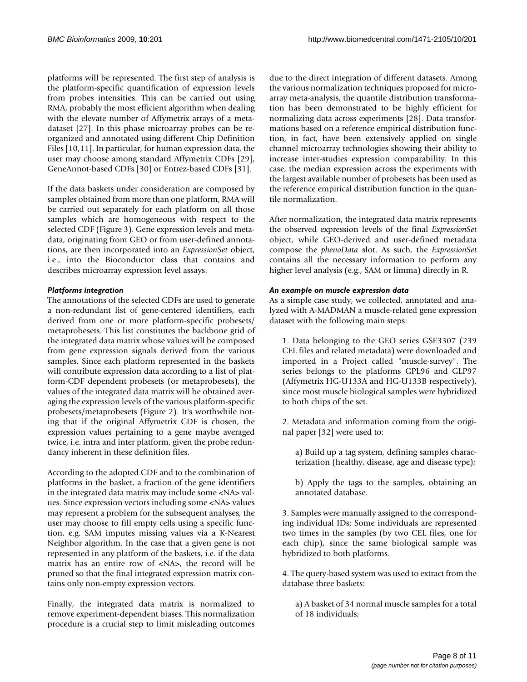platforms will be represented. The first step of analysis is the platform-specific quantification of expression levels from probes intensities. This can be carried out using RMA, probably the most efficient algorithm when dealing with the elevate number of Affymetrix arrays of a metadataset [27]. In this phase microarray probes can be reorganized and annotated using different Chip Definition Files [10,11]. In particular, for human expression data, the user may choose among standard Affymetrix CDFs [29], GeneAnnot-based CDFs [30] or Entrez-based CDFs [31].

If the data baskets under consideration are composed by samples obtained from more than one platform, RMA will be carried out separately for each platform on all those samples which are homogeneous with respect to the selected CDF (Figure 3). Gene expression levels and metadata, originating from GEO or from user-defined annotations, are then incorporated into an *ExpressionSet* object, i.e., into the Bioconductor class that contains and describes microarray expression level assays.

# *Platforms integration*

The annotations of the selected CDFs are used to generate a non-redundant list of gene-centered identifiers, each derived from one or more platform-specific probesets/ metaprobesets. This list constitutes the backbone grid of the integrated data matrix whose values will be composed from gene expression signals derived from the various samples. Since each platform represented in the baskets will contribute expression data according to a list of platform-CDF dependent probesets (or metaprobesets), the values of the integrated data matrix will be obtained averaging the expression levels of the various platform-specific probesets/metaprobesets (Figure 2). It's worthwhile noting that if the original Affymetrix CDF is chosen, the expression values pertaining to a gene maybe averaged twice, i.e. intra and inter platform, given the probe redundancy inherent in these definition files.

According to the adopted CDF and to the combination of platforms in the basket, a fraction of the gene identifiers in the integrated data matrix may include some <NA> values. Since expression vectors including some <NA> values may represent a problem for the subsequent analyses, the user may choose to fill empty cells using a specific function, e.g. SAM imputes missing values via a K-Nearest Neighbor algorithm. In the case that a given gene is not represented in any platform of the baskets, i.e. if the data matrix has an entire row of <NA>, the record will be pruned so that the final integrated expression matrix contains only non-empty expression vectors.

Finally, the integrated data matrix is normalized to remove experiment-dependent biases. This normalization procedure is a crucial step to limit misleading outcomes

due to the direct integration of different datasets. Among the various normalization techniques proposed for microarray meta-analysis, the quantile distribution transformation has been demonstrated to be highly efficient for normalizing data across experiments [28]. Data transformations based on a reference empirical distribution function, in fact, have been extensively applied on single channel microarray technologies showing their ability to increase inter-studies expression comparability. In this case, the median expression across the experiments with the largest available number of probesets has been used as the reference empirical distribution function in the quantile normalization.

After normalization, the integrated data matrix represents the observed expression levels of the final *ExpressionSet* object, while GEO-derived and user-defined metadata compose the *phenoData* slot. As such, the *ExpressionSet* contains all the necessary information to perform any higher level analysis (e.g., SAM or limma) directly in R.

#### *An example on muscle expression data*

As a simple case study, we collected, annotated and analyzed with A-MADMAN a muscle-related gene expression dataset with the following main steps:

1. Data belonging to the GEO series GSE3307 (239 CEL files and related metadata) were downloaded and imported in a Project called "muscle-survey". The series belongs to the platforms GPL96 and GLP97 (Affymetrix HG-U133A and HG-U133B respectively), since most muscle biological samples were hybridized to both chips of the set.

2. Metadata and information coming from the original paper [32] were used to:

a) Build up a tag system, defining samples characterization (healthy, disease, age and disease type);

b) Apply the tags to the samples, obtaining an annotated database.

3. Samples were manually assigned to the corresponding individual IDs: Some individuals are represented two times in the samples (by two CEL files, one for each chip), since the same biological sample was hybridized to both platforms.

4. The query-based system was used to extract from the database three baskets:

a) A basket of 34 normal muscle samples for a total of 18 individuals;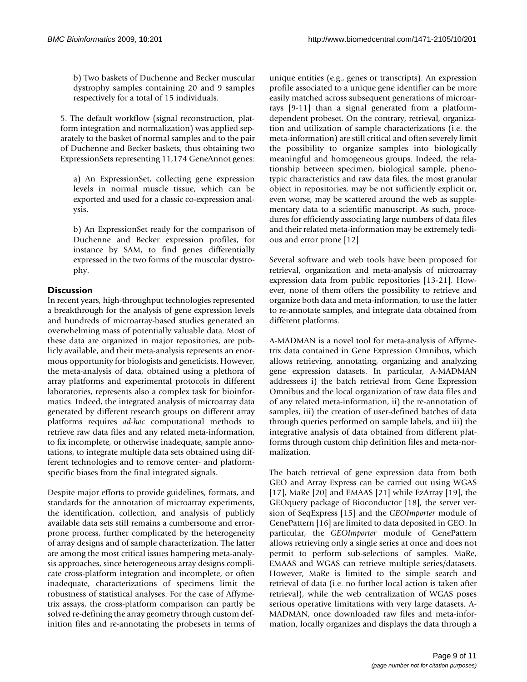b) Two baskets of Duchenne and Becker muscular dystrophy samples containing 20 and 9 samples respectively for a total of 15 individuals.

5. The default workflow (signal reconstruction, platform integration and normalization) was applied separately to the basket of normal samples and to the pair of Duchenne and Becker baskets, thus obtaining two ExpressionSets representing 11,174 GeneAnnot genes:

a) An ExpressionSet, collecting gene expression levels in normal muscle tissue, which can be exported and used for a classic co-expression analysis.

b) An ExpressionSet ready for the comparison of Duchenne and Becker expression profiles, for instance by SAM, to find genes differentially expressed in the two forms of the muscular dystrophy.

# **Discussion**

In recent years, high-throughput technologies represented a breakthrough for the analysis of gene expression levels and hundreds of microarray-based studies generated an overwhelming mass of potentially valuable data. Most of these data are organized in major repositories, are publicly available, and their meta-analysis represents an enormous opportunity for biologists and geneticists. However, the meta-analysis of data, obtained using a plethora of array platforms and experimental protocols in different laboratories, represents also a complex task for bioinformatics. Indeed, the integrated analysis of microarray data generated by different research groups on different array platforms requires *ad-hoc* computational methods to retrieve raw data files and any related meta-information, to fix incomplete, or otherwise inadequate, sample annotations, to integrate multiple data sets obtained using different technologies and to remove center- and platformspecific biases from the final integrated signals.

Despite major efforts to provide guidelines, formats, and standards for the annotation of microarray experiments, the identification, collection, and analysis of publicly available data sets still remains a cumbersome and errorprone process, further complicated by the heterogeneity of array designs and of sample characterization. The latter are among the most critical issues hampering meta-analysis approaches, since heterogeneous array designs complicate cross-platform integration and incomplete, or often inadequate, characterizations of specimens limit the robustness of statistical analyses. For the case of Affymetrix assays, the cross-platform comparison can partly be solved re-defining the array geometry through custom definition files and re-annotating the probesets in terms of unique entities (e.g., genes or transcripts). An expression profile associated to a unique gene identifier can be more easily matched across subsequent generations of microarrays [9-11] than a signal generated from a platformdependent probeset. On the contrary, retrieval, organization and utilization of sample characterizations (i.e. the meta-information) are still critical and often severely limit the possibility to organize samples into biologically meaningful and homogeneous groups. Indeed, the relationship between specimen, biological sample, phenotypic characteristics and raw data files, the most granular object in repositories, may be not sufficiently explicit or, even worse, may be scattered around the web as supplementary data to a scientific manuscript. As such, procedures for efficiently associating large numbers of data files and their related meta-information may be extremely tedious and error prone [12].

Several software and web tools have been proposed for retrieval, organization and meta-analysis of microarray expression data from public repositories [13-21]. However, none of them offers the possibility to retrieve and organize both data and meta-information, to use the latter to re-annotate samples, and integrate data obtained from different platforms.

A-MADMAN is a novel tool for meta-analysis of Affymetrix data contained in Gene Expression Omnibus, which allows retrieving, annotating, organizing and analyzing gene expression datasets. In particular, A-MADMAN addressees i) the batch retrieval from Gene Expression Omnibus and the local organization of raw data files and of any related meta-information, ii) the re-annotation of samples, iii) the creation of user-defined batches of data through queries performed on sample labels, and iii) the integrative analysis of data obtained from different platforms through custom chip definition files and meta-normalization.

The batch retrieval of gene expression data from both GEO and Array Express can be carried out using WGAS [17], MaRe [20] and EMAAS [21] while EzArray [19], the GEOquery package of Bioconductor [18], the server version of SeqExpress [15] and the *GEOImporter* module of GenePattern [16] are limited to data deposited in GEO. In particular, the *GEOImporter* module of GenePattern allows retrieving only a single series at once and does not permit to perform sub-selections of samples. MaRe, EMAAS and WGAS can retrieve multiple series/datasets. However, MaRe is limited to the simple search and retrieval of data (i.e. no further local action is taken after retrieval), while the web centralization of WGAS poses serious operative limitations with very large datasets. A-MADMAN, once downloaded raw files and meta-information, locally organizes and displays the data through a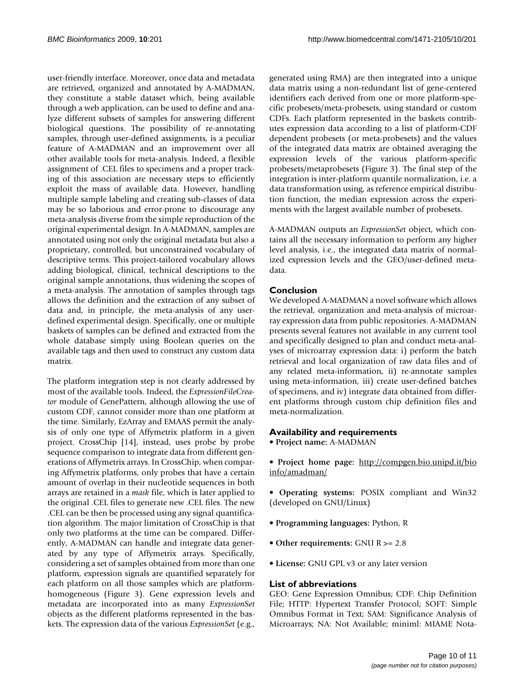user-friendly interface. Moreover, once data and metadata are retrieved, organized and annotated by A-MADMAN, they constitute a stable dataset which, being available through a web application, can be used to define and analyze different subsets of samples for answering different biological questions. The possibility of re-annotating samples, through user-defined assignments, is a peculiar feature of A-MADMAN and an improvement over all other available tools for meta-analysis. Indeed, a flexible assignment of .CEL files to specimens and a proper tracking of this association are necessary steps to efficiently exploit the mass of available data. However, handling multiple sample labeling and creating sub-classes of data may be so laborious and error-prone to discourage any meta-analysis diverse from the simple reproduction of the original experimental design. In A-MADMAN, samples are annotated using not only the original metadata but also a proprietary, controlled, but unconstrained vocabulary of descriptive terms. This project-tailored vocabulary allows adding biological, clinical, technical descriptions to the original sample annotations, thus widening the scopes of a meta-analysis. The annotation of samples through tags allows the definition and the extraction of any subset of data and, in principle, the meta-analysis of any userdefined experimental design. Specifically, one or multiple baskets of samples can be defined and extracted from the whole database simply using Boolean queries on the available tags and then used to construct any custom data matrix.

The platform integration step is not clearly addressed by most of the available tools. Indeed, the *ExpressionFileCreator* module of GenePattern, although allowing the use of custom CDF, cannot consider more than one platform at the time. Similarly, EzArray and EMAAS permit the analysis of only one type of Affymetrix platform in a given project. CrossChip [14], instead, uses probe by probe sequence comparison to integrate data from different generations of Affymetrix arrays. In CrossChip, when comparing Affymetrix platforms, only probes that have a certain amount of overlap in their nucleotide sequences in both arrays are retained in a *mask* file, which is later applied to the original .CEL files to generate new .CEL files. The new .CEL can be then be processed using any signal quantification algorithm. The major limitation of CrossChip is that only two platforms at the time can be compared. Differently, A-MADMAN can handle and integrate data generated by any type of Affymetrix arrays. Specifically, considering a set of samples obtained from more than one platform, expression signals are quantified separately for each platform on all those samples which are platformhomogeneous (Figure 3). Gene expression levels and metadata are incorporated into as many *ExpressionSet* objects as the different platforms represented in the baskets. The expression data of the various *ExpressionSet* (e.g.,

generated using RMA) are then integrated into a unique data matrix using a non-redundant list of gene-centered identifiers each derived from one or more platform-specific probesets/meta-probesets, using standard or custom CDFs. Each platform represented in the baskets contributes expression data according to a list of platform-CDF dependent probesets (or meta-probesets) and the values of the integrated data matrix are obtained averaging the expression levels of the various platform-specific probesets/metaprobesets (Figure 3). The final step of the integration is inter-platform quantile normalization, i.e. a data transformation using, as reference empirical distribution function, the median expression across the experiments with the largest available number of probesets.

A-MADMAN outputs an *ExpressionSet* object, which contains all the necessary information to perform any higher level analysis, i.e., the integrated data matrix of normalized expression levels and the GEO/user-defined metadata.

# **Conclusion**

We developed A-MADMAN a novel software which allows the retrieval, organization and meta-analysis of microarray expression data from public repositories. A-MADMAN presents several features not available in any current tool and specifically designed to plan and conduct meta-analyses of microarray expression data: i) perform the batch retrieval and local organization of raw data files and of any related meta-information, ii) re-annotate samples using meta-information, iii) create user-defined batches of specimens, and iv) integrate data obtained from different platforms through custom chip definition files and meta-normalization.

# **Availability and requirements**

• **Project name:** A-MADMAN

• **Project home page:** [http://compgen.bio.unipd.it/bio](http://compgen.bio.unipd.it/bioinfo/amadman/) [info/amadman/](http://compgen.bio.unipd.it/bioinfo/amadman/)

• **Operating systems:** POSIX compliant and Win32 (developed on GNU/Linux)

- **Programming languages:** Python, R
- **Other requirements:** GNU R >= 2.8
- **License:** GNU GPL v3 or any later version

# **List of abbreviations**

GEO: Gene Expression Omnibus; CDF: Chip Definition File; HTTP: Hypertext Transfer Protocol; SOFT: Simple Omnibus Format in Text; SAM: Significance Analysis of Microarrays; NA: Not Available; miniml: MIAME Nota-